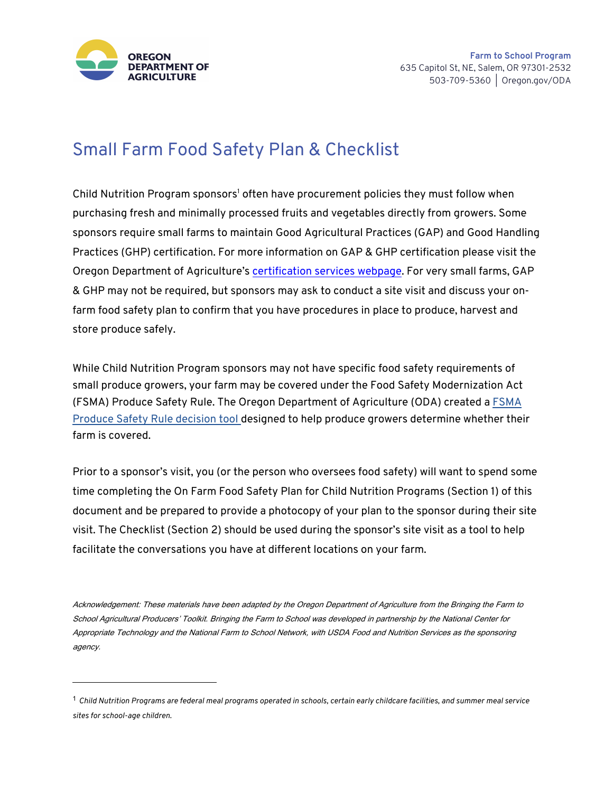

## Small Farm Food Safety Plan & Checklist

Child Nutrition Program sponsors<sup>1</sup> often have procurement policies they must follow when purchasing fresh and minimally processed fruits and vegetables directly from growers. Some sponsors require small farms to maintain Good Agricultural Practices (GAP) and Good Handling Practices (GHP) certification. For more information on GAP & GHP certification please visit the Oregon Department of Agriculture's certification services webpage. For very small farms, GAP & GHP may not be required, but sponsors may ask to conduct a site visit and discuss your onfarm food safety plan to confirm that you have procedures in place to produce, harvest and store produce safely.

While Child Nutrition Program sponsors may not have specific food safety requirements of small produce growers, your farm may be covered under the Food Safety Modernization Act (FSMA) Produce Safety Rule. The Oregon Department of Agriculture (ODA) created a FSMA Produce Safety Rule decision tool designed to help produce growers determine whether their farm is covered.

Prior to a sponsor's visit, you (or the person who oversees food safety) will want to spend some time completing the On Farm Food Safety Plan for Child Nutrition Programs (Section 1) of this document and be prepared to provide a photocopy of your plan to the sponsor during their site visit. The Checklist (Section 2) should be used during the sponsor's site visit as a tool to help facilitate the conversations you have at different locations on your farm.

Acknowledgement: These materials have been adapted by the Oregon Department of Agriculture from the Bringing the Farm to School Agricultural Producers' Toolkit. Bringing the Farm to School was developed in partnership by the National Center for Appropriate Technology and the National Farm to School Network, with USDA Food and Nutrition Services as the sponsoring agency.

<sup>!</sup> *Child Nutrition Programs are federal meal programs operated in schools, certain early childcare facilities, and summer meal service sites for school-age children.*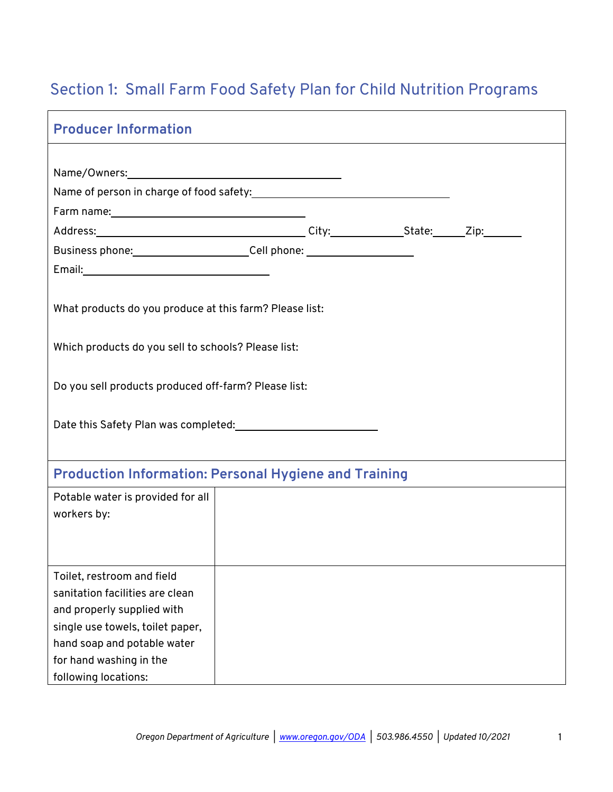## Section 1: Small Farm Food Safety Plan for Child Nutrition Programs

| <b>Producer Information</b>                                               |  |  |  |
|---------------------------------------------------------------------------|--|--|--|
|                                                                           |  |  |  |
|                                                                           |  |  |  |
|                                                                           |  |  |  |
|                                                                           |  |  |  |
| Business phone: Cell phone: Cell phone:                                   |  |  |  |
|                                                                           |  |  |  |
|                                                                           |  |  |  |
| What products do you produce at this farm? Please list:                   |  |  |  |
|                                                                           |  |  |  |
| Which products do you sell to schools? Please list:                       |  |  |  |
|                                                                           |  |  |  |
| Do you sell products produced off-farm? Please list:                      |  |  |  |
|                                                                           |  |  |  |
| Date this Safety Plan was completed: Date this Safety Plan was completed: |  |  |  |
|                                                                           |  |  |  |
|                                                                           |  |  |  |
| <b>Production Information: Personal Hygiene and Training</b>              |  |  |  |
| Potable water is provided for all                                         |  |  |  |
| workers by:                                                               |  |  |  |
|                                                                           |  |  |  |
|                                                                           |  |  |  |
| Toilet, restroom and field                                                |  |  |  |
| sanitation facilities are clean                                           |  |  |  |
| and properly supplied with                                                |  |  |  |
| single use towels, toilet paper,                                          |  |  |  |
| hand soap and potable water                                               |  |  |  |
| for hand washing in the                                                   |  |  |  |
| following locations:                                                      |  |  |  |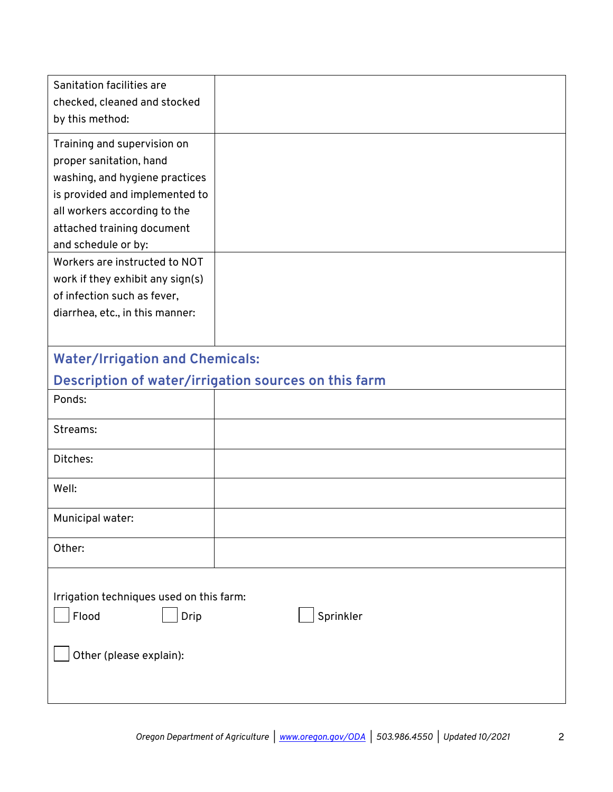| Sanitation facilities are<br>checked, cleaned and stocked                            |                                                      |
|--------------------------------------------------------------------------------------|------------------------------------------------------|
| by this method:                                                                      |                                                      |
| Training and supervision on                                                          |                                                      |
| proper sanitation, hand                                                              |                                                      |
| washing, and hygiene practices                                                       |                                                      |
| is provided and implemented to                                                       |                                                      |
| all workers according to the                                                         |                                                      |
| attached training document                                                           |                                                      |
| and schedule or by:<br>Workers are instructed to NOT                                 |                                                      |
| work if they exhibit any sign(s)                                                     |                                                      |
| of infection such as fever,                                                          |                                                      |
| diarrhea, etc., in this manner:                                                      |                                                      |
|                                                                                      |                                                      |
| <b>Water/Irrigation and Chemicals:</b>                                               |                                                      |
|                                                                                      | Description of water/irrigation sources on this farm |
| Ponds:                                                                               |                                                      |
| Streams:                                                                             |                                                      |
| Ditches:                                                                             |                                                      |
| Well:                                                                                |                                                      |
| Municipal water:                                                                     |                                                      |
| Other:                                                                               |                                                      |
| Irrigation techniques used on this farm:<br>Flood<br>Drip<br>Other (please explain): | Sprinkler                                            |
|                                                                                      |                                                      |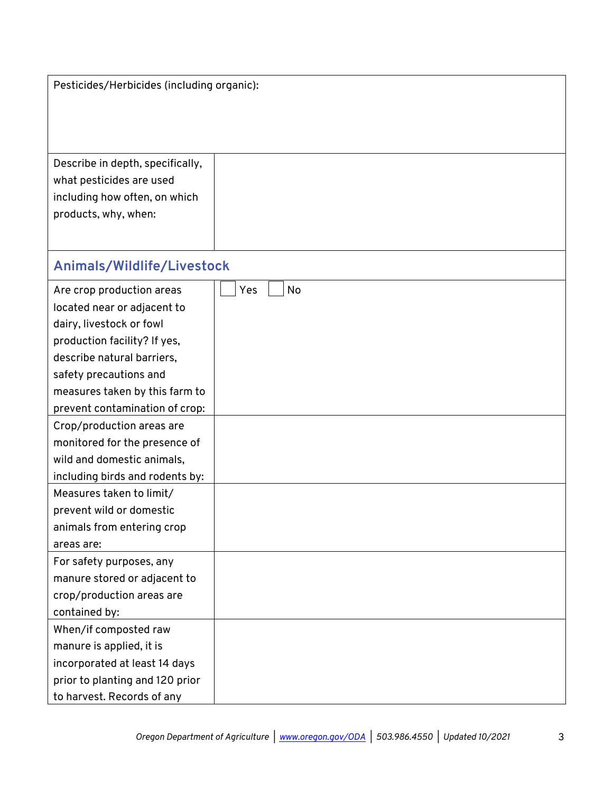| Pesticides/Herbicides (including organic):                       |           |  |
|------------------------------------------------------------------|-----------|--|
|                                                                  |           |  |
| Describe in depth, specifically,                                 |           |  |
| what pesticides are used                                         |           |  |
| including how often, on which                                    |           |  |
| products, why, when:                                             |           |  |
|                                                                  |           |  |
| Animals/Wildlife/Livestock                                       |           |  |
| Are crop production areas                                        | No<br>Yes |  |
| located near or adjacent to                                      |           |  |
| dairy, livestock or fowl                                         |           |  |
| production facility? If yes,                                     |           |  |
| describe natural barriers,                                       |           |  |
| safety precautions and                                           |           |  |
| measures taken by this farm to                                   |           |  |
| prevent contamination of crop:                                   |           |  |
| Crop/production areas are                                        |           |  |
| monitored for the presence of                                    |           |  |
| wild and domestic animals,                                       |           |  |
| including birds and rodents by:                                  |           |  |
| Measures taken to limit/                                         |           |  |
| prevent wild or domestic                                         |           |  |
| animals from entering crop                                       |           |  |
| areas are:                                                       |           |  |
| For safety purposes, any                                         |           |  |
| manure stored or adjacent to                                     |           |  |
| crop/production areas are                                        |           |  |
| contained by:                                                    |           |  |
| When/if composted raw                                            |           |  |
| manure is applied, it is                                         |           |  |
| incorporated at least 14 days<br>prior to planting and 120 prior |           |  |
| to harvest. Records of any                                       |           |  |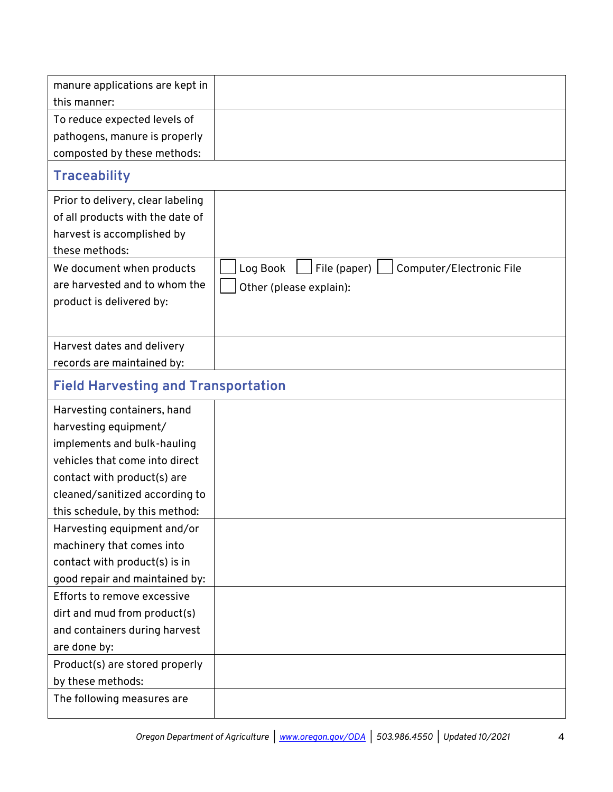| manure applications are kept in              |                                                      |
|----------------------------------------------|------------------------------------------------------|
| this manner:<br>To reduce expected levels of |                                                      |
| pathogens, manure is properly                |                                                      |
| composted by these methods:                  |                                                      |
|                                              |                                                      |
| <b>Traceability</b>                          |                                                      |
| Prior to delivery, clear labeling            |                                                      |
| of all products with the date of             |                                                      |
| harvest is accomplished by                   |                                                      |
| these methods:                               |                                                      |
| We document when products                    | Log Book<br>File (paper)<br>Computer/Electronic File |
| are harvested and to whom the                | Other (please explain):                              |
| product is delivered by:                     |                                                      |
|                                              |                                                      |
| Harvest dates and delivery                   |                                                      |
| records are maintained by:                   |                                                      |
| <b>Field Harvesting and Transportation</b>   |                                                      |
| Harvesting containers, hand                  |                                                      |
| harvesting equipment/                        |                                                      |
| implements and bulk-hauling                  |                                                      |
| vehicles that come into direct               |                                                      |
| contact with product(s) are                  |                                                      |
| cleaned/sanitized according to               |                                                      |
| this schedule, by this method:               |                                                      |
| Harvesting equipment and/or                  |                                                      |
| machinery that comes into                    |                                                      |
| contact with product(s) is in                |                                                      |
| good repair and maintained by:               |                                                      |
| Efforts to remove excessive                  |                                                      |
| dirt and mud from product(s)                 |                                                      |
| and containers during harvest                |                                                      |
| are done by:                                 |                                                      |
| Product(s) are stored properly               |                                                      |
| by these methods:                            |                                                      |
| The following measures are                   |                                                      |
|                                              |                                                      |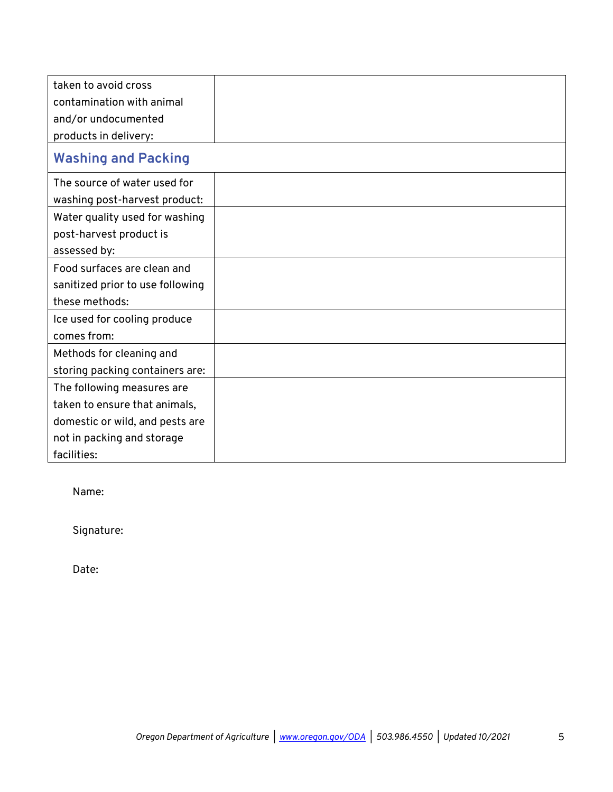| taken to avoid cross             |  |
|----------------------------------|--|
| contamination with animal        |  |
| and/or undocumented              |  |
| products in delivery:            |  |
| <b>Washing and Packing</b>       |  |
| The source of water used for     |  |
| washing post-harvest product:    |  |
| Water quality used for washing   |  |
| post-harvest product is          |  |
| assessed by:                     |  |
| Food surfaces are clean and      |  |
| sanitized prior to use following |  |
| these methods:                   |  |
| Ice used for cooling produce     |  |
| comes from:                      |  |
| Methods for cleaning and         |  |
| storing packing containers are:  |  |
| The following measures are       |  |
| taken to ensure that animals,    |  |
| domestic or wild, and pests are  |  |
| not in packing and storage       |  |
| facilities:                      |  |

Name:

Signature:

Date: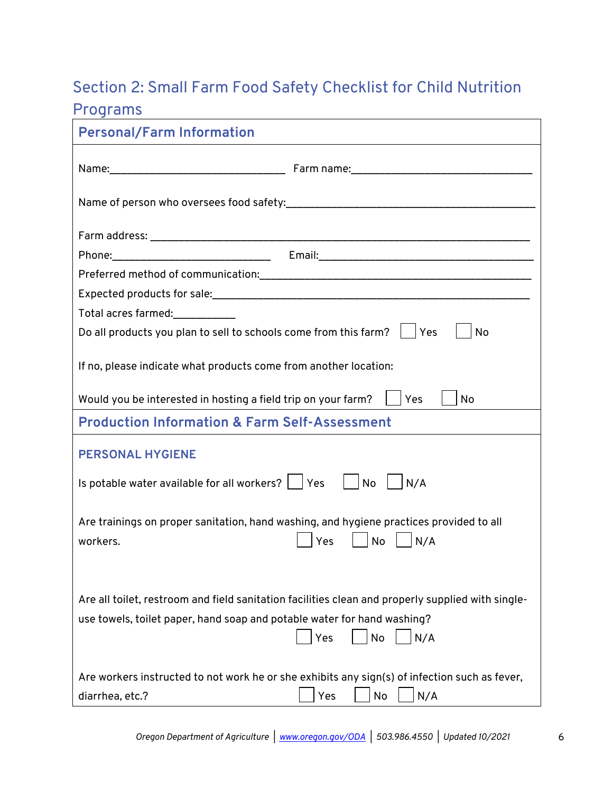## Section 2: Small Farm Food Safety Checklist for Child Nutrition

## Programs

| <b>Personal/Farm Information</b>                                                                                                                                                                 |
|--------------------------------------------------------------------------------------------------------------------------------------------------------------------------------------------------|
|                                                                                                                                                                                                  |
|                                                                                                                                                                                                  |
|                                                                                                                                                                                                  |
|                                                                                                                                                                                                  |
|                                                                                                                                                                                                  |
|                                                                                                                                                                                                  |
| Total acres farmed:<br>_____________                                                                                                                                                             |
| Do all products you plan to sell to schools come from this farm?     Yes<br>No                                                                                                                   |
| If no, please indicate what products come from another location:                                                                                                                                 |
| Would you be interested in hosting a field trip on your farm?<br>Yes<br><b>No</b>                                                                                                                |
| <b>Production Information &amp; Farm Self-Assessment</b>                                                                                                                                         |
| <b>PERSONAL HYGIENE</b>                                                                                                                                                                          |
| Is potable water available for all workers? $\Box$ Yes $\Box$ No<br>N/A                                                                                                                          |
| Are trainings on proper sanitation, hand washing, and hygiene practices provided to all<br>No<br>N/A<br>workers.<br>Yes                                                                          |
| Are all toilet, restroom and field sanitation facilities clean and properly supplied with single-<br>use towels, toilet paper, hand soap and potable water for hand washing?<br>Yes<br>No<br>N/A |
| Are workers instructed to not work he or she exhibits any sign(s) of infection such as fever,<br>N/A<br>Yes<br>diarrhea, etc.?<br>No                                                             |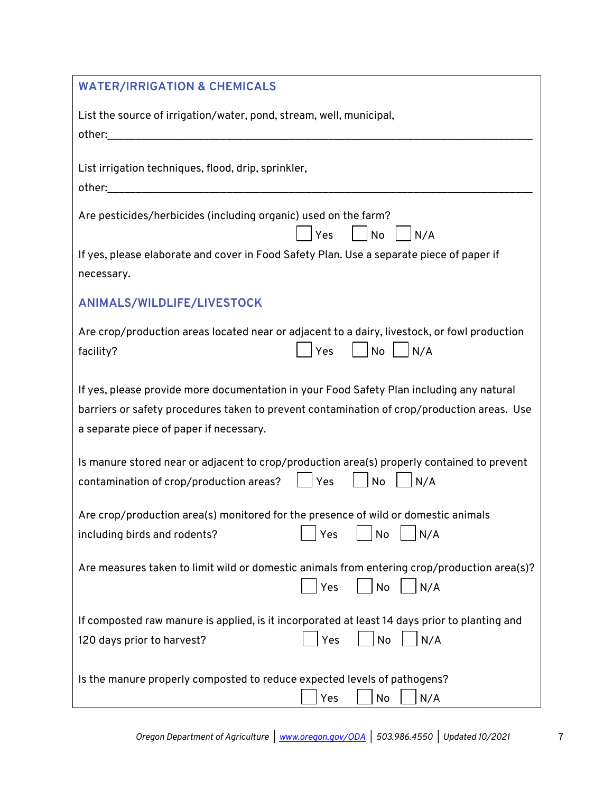| <b>WATER/IRRIGATION &amp; CHEMICALS</b>                                                                                                                                                                                           |
|-----------------------------------------------------------------------------------------------------------------------------------------------------------------------------------------------------------------------------------|
| List the source of irrigation/water, pond, stream, well, municipal,<br>other:                                                                                                                                                     |
| List irrigation techniques, flood, drip, sprinkler,<br>other: when the contract of the contract of the contract of the contract of the contract of the contract of the                                                            |
| Are pesticides/herbicides (including organic) used on the farm?<br>No<br>Yes<br>N/A                                                                                                                                               |
| If yes, please elaborate and cover in Food Safety Plan. Use a separate piece of paper if<br>necessary.                                                                                                                            |
| ANIMALS/WILDLIFE/LIVESTOCK                                                                                                                                                                                                        |
| Are crop/production areas located near or adjacent to a dairy, livestock, or fowl production<br><b>No</b><br>Yes<br>N/A<br>facility?                                                                                              |
| If yes, please provide more documentation in your Food Safety Plan including any natural<br>barriers or safety procedures taken to prevent contamination of crop/production areas. Use<br>a separate piece of paper if necessary. |
| Is manure stored near or adjacent to crop/production area(s) properly contained to prevent<br><b>No</b><br>contamination of crop/production areas?<br>Yes<br>N/A                                                                  |
| Are crop/production area(s) monitored for the presence of wild or domestic animals<br>No<br>N/A<br>including birds and rodents?<br>Yes                                                                                            |
| Are measures taken to limit wild or domestic animals from entering crop/production area(s)?<br>Yes<br>No<br>N/A                                                                                                                   |
| If composted raw manure is applied, is it incorporated at least 14 days prior to planting and<br>Yes<br>No<br>N/A<br>120 days prior to harvest?                                                                                   |
| Is the manure properly composted to reduce expected levels of pathogens?<br>No<br>N/A<br>Yes                                                                                                                                      |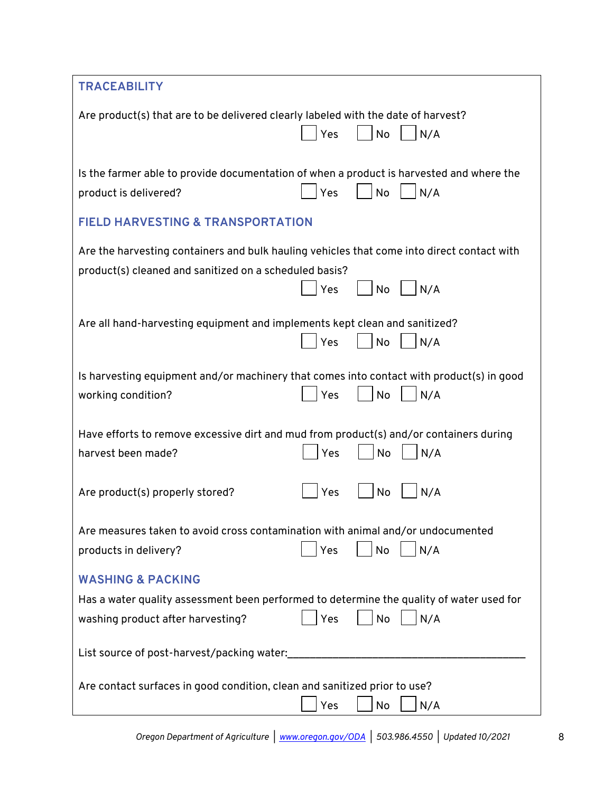| <b>TRACEABILITY</b>                                                                           |                                                                                                                     |  |
|-----------------------------------------------------------------------------------------------|---------------------------------------------------------------------------------------------------------------------|--|
| Are product(s) that are to be delivered clearly labeled with the date of harvest?             |                                                                                                                     |  |
|                                                                                               | Yes<br>No<br>N/A                                                                                                    |  |
| product is delivered?                                                                         | Is the farmer able to provide documentation of when a product is harvested and where the<br><b>No</b><br>N/A<br>Yes |  |
| <b>FIELD HARVESTING &amp; TRANSPORTATION</b>                                                  |                                                                                                                     |  |
|                                                                                               | Are the harvesting containers and bulk hauling vehicles that come into direct contact with                          |  |
| product(s) cleaned and sanitized on a scheduled basis?                                        | N/A<br>Yes<br>No                                                                                                    |  |
|                                                                                               |                                                                                                                     |  |
| Are all hand-harvesting equipment and implements kept clean and sanitized?                    | Yes<br>No<br>N/A                                                                                                    |  |
|                                                                                               |                                                                                                                     |  |
| working condition?                                                                            | Is harvesting equipment and/or machinery that comes into contact with product(s) in good<br>N/A<br>Yes<br>No        |  |
|                                                                                               |                                                                                                                     |  |
| Have efforts to remove excessive dirt and mud from product(s) and/or containers during        |                                                                                                                     |  |
| harvest been made?                                                                            | Yes<br>No<br>N/A                                                                                                    |  |
| Are product(s) properly stored?                                                               | N/A<br>Yes<br>No                                                                                                    |  |
| Are measures taken to avoid cross contamination with animal and/or undocumented               |                                                                                                                     |  |
| products in delivery?                                                                         | Yes<br>No<br>N/A                                                                                                    |  |
| <b>WASHING &amp; PACKING</b>                                                                  |                                                                                                                     |  |
|                                                                                               | Has a water quality assessment been performed to determine the quality of water used for                            |  |
| washing product after harvesting?                                                             | No<br>N/A<br>Yes                                                                                                    |  |
| List source of post-harvest/packing water:                                                    |                                                                                                                     |  |
| Are contact surfaces in good condition, clean and sanitized prior to use?<br>Yes<br>N/A<br>No |                                                                                                                     |  |